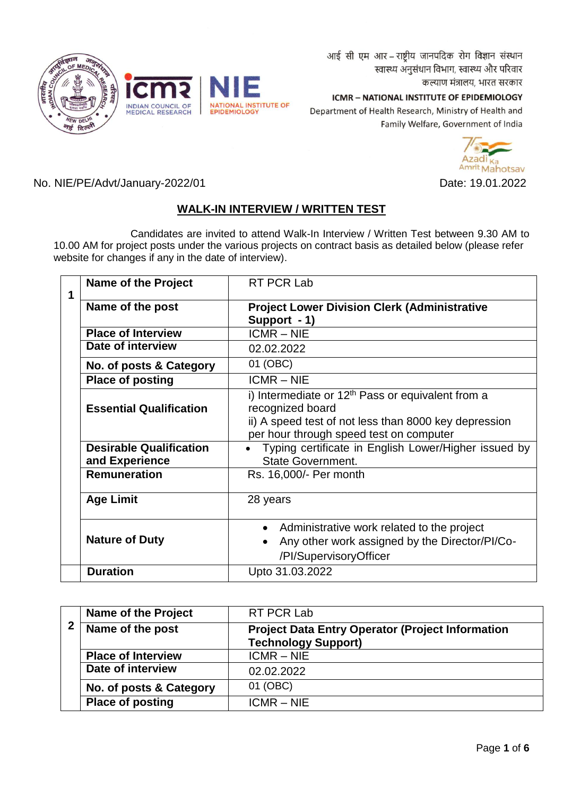आई सी एम आर - राष्ट्रीय जानपदिक रोग विज्ञान संस्थान स्वास्थ्य अनुसंधान विभाग, स्वास्थ्य और परिवार कल्याण मंत्रालय, भारत सरकार

INDIAN COUNCIL OF<br>MEDICAL RESEARCH NATIONAL INSTITUTE OF<br>EPIDEMIOLOGY

ICMR - NATIONAL INSTITUTE OF EPIDEMIOLOGY Department of Health Research, Ministry of Health and Family Welfare, Government of India



No. NIE/PE/Advt/January-2022/01 Date: 19.01.2022

# **WALK-IN INTERVIEW / WRITTEN TEST**

Candidates are invited to attend Walk-In Interview / Written Test between 9.30 AM to 10.00 AM for project posts under the various projects on contract basis as detailed below (please refer website for changes if any in the date of interview).

| 1 | <b>Name of the Project</b>                       | RT PCR Lab                                                                                                                                                                  |
|---|--------------------------------------------------|-----------------------------------------------------------------------------------------------------------------------------------------------------------------------------|
|   | Name of the post                                 | <b>Project Lower Division Clerk (Administrative</b>                                                                                                                         |
|   |                                                  | Support - 1)                                                                                                                                                                |
|   | <b>Place of Interview</b>                        | $ICMR - NIE$                                                                                                                                                                |
|   | Date of interview                                | 02.02.2022                                                                                                                                                                  |
|   | No. of posts & Category                          | 01 (OBC)                                                                                                                                                                    |
|   | <b>Place of posting</b>                          | $ICMR - NIE$                                                                                                                                                                |
|   | <b>Essential Qualification</b>                   | i) Intermediate or $12th$ Pass or equivalent from a<br>recognized board<br>ii) A speed test of not less than 8000 key depression<br>per hour through speed test on computer |
|   | <b>Desirable Qualification</b><br>and Experience | Typing certificate in English Lower/Higher issued by<br><b>State Government.</b>                                                                                            |
|   | <b>Remuneration</b>                              | Rs. 16,000/- Per month                                                                                                                                                      |
|   | <b>Age Limit</b>                                 | 28 years                                                                                                                                                                    |
|   | <b>Nature of Duty</b>                            | Administrative work related to the project<br>Any other work assigned by the Director/PI/Co-<br>/PI/SupervisoryOfficer                                                      |
|   | <b>Duration</b>                                  | Upto 31.03.2022                                                                                                                                                             |

|                       | <b>Name of the Project</b> | RT PCR Lab                                              |
|-----------------------|----------------------------|---------------------------------------------------------|
| 2<br>Name of the post |                            | <b>Project Data Entry Operator (Project Information</b> |
|                       |                            | <b>Technology Support)</b>                              |
|                       | <b>Place of Interview</b>  | $ICMR - NIE$                                            |
|                       | Date of interview          | 02.02.2022                                              |
|                       | No. of posts & Category    | 01 (OBC)                                                |
|                       | <b>Place of posting</b>    | $ICMR - NIE$                                            |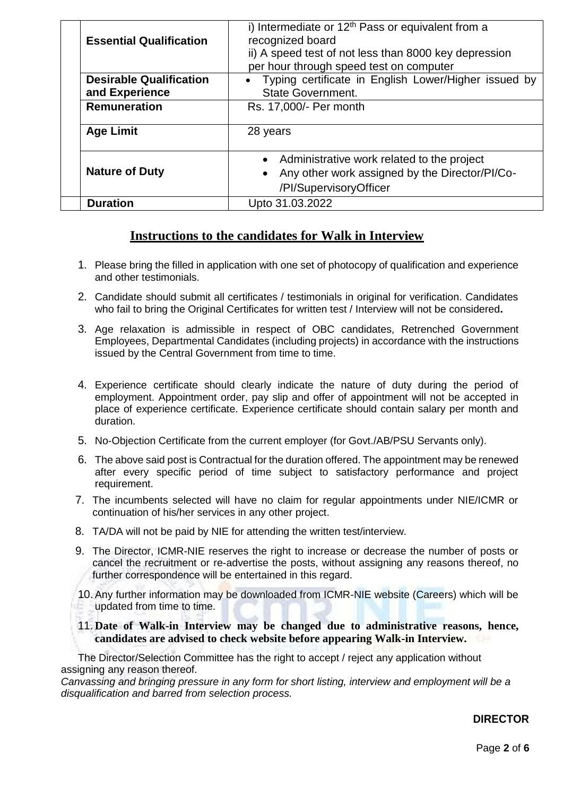| <b>Essential Qualification</b> | i) Intermediate or $12th$ Pass or equivalent from a<br>recognized board<br>ii) A speed test of not less than 8000 key depression<br>per hour through speed test on computer |  |  |
|--------------------------------|-----------------------------------------------------------------------------------------------------------------------------------------------------------------------------|--|--|
| <b>Desirable Qualification</b> | • Typing certificate in English Lower/Higher issued by                                                                                                                      |  |  |
| and Experience                 | <b>State Government.</b>                                                                                                                                                    |  |  |
| <b>Remuneration</b>            | Rs. 17,000/- Per month                                                                                                                                                      |  |  |
| <b>Age Limit</b>               | 28 years                                                                                                                                                                    |  |  |
|                                | Administrative work related to the project<br>$\bullet$                                                                                                                     |  |  |
| <b>Nature of Duty</b>          | Any other work assigned by the Director/PI/Co-                                                                                                                              |  |  |
|                                | /PI/SupervisoryOfficer                                                                                                                                                      |  |  |
| <b>Duration</b>                | Upto 31.03.2022                                                                                                                                                             |  |  |

# **Instructions to the candidates for Walk in Interview**

- 1. Please bring the filled in application with one set of photocopy of qualification and experience and other testimonials.
- 2. Candidate should submit all certificates / testimonials in original for verification. Candidates who fail to bring the Original Certificates for written test / Interview will not be considered**.**
- 3. Age relaxation is admissible in respect of OBC candidates, Retrenched Government Employees, Departmental Candidates (including projects) in accordance with the instructions issued by the Central Government from time to time.
- 4. Experience certificate should clearly indicate the nature of duty during the period of employment. Appointment order, pay slip and offer of appointment will not be accepted in place of experience certificate. Experience certificate should contain salary per month and duration.
- 5. No-Objection Certificate from the current employer (for Govt./AB/PSU Servants only).
- 6. The above said post is Contractual for the duration offered. The appointment may be renewed after every specific period of time subject to satisfactory performance and project requirement.
- 7. The incumbents selected will have no claim for regular appointments under NIE/ICMR or continuation of his/her services in any other project.
- 8. TA/DA will not be paid by NIE for attending the written test/interview.
- 9. The Director, ICMR-NIE reserves the right to increase or decrease the number of posts or cancel the recruitment or re-advertise the posts, without assigning any reasons thereof, no further correspondence will be entertained in this regard.
- 10. Any further information may be downloaded from ICMR-NIE website (Careers) which will be updated from time to time.
- 11. **Date of Walk-in Interview may be changed due to administrative reasons, hence, candidates are advised to check website before appearing Walk-in Interview.**

The Director/Selection Committee has the right to accept / reject any application without assigning any reason thereof.

*Canvassing and bringing pressure in any form for short listing, interview and employment will be a disqualification and barred from selection process.*

# **DIRECTOR**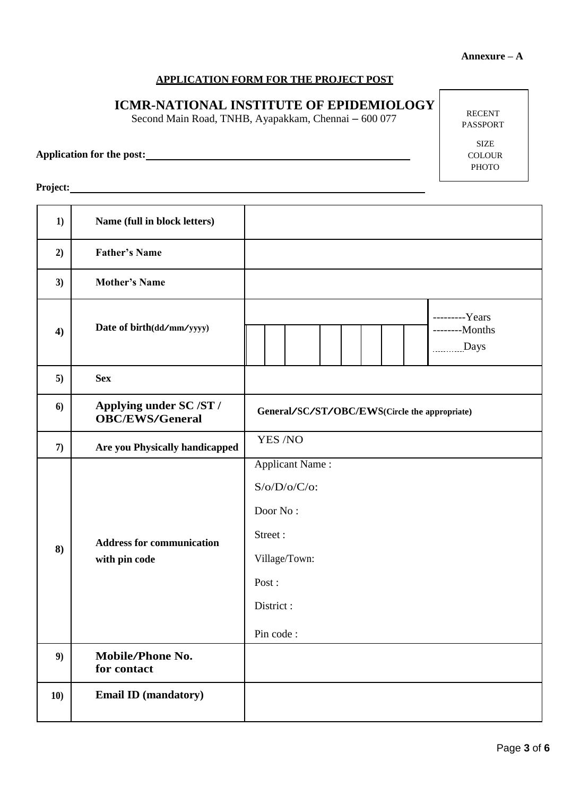### **APPLICATION FORM FOR THE PROJECT POST**

# **ICMR-NATIONAL INSTITUTE OF EPIDEMIOLOGY**

Second Main Road, TNHB, Ayapakkam, Chennai – 600 077

**Application for the post:**

RECENT PASSPORT

> SIZE COLOUR PHOTO

Project: **Project: Project: Project: Project: Project: Project: Project: Project: Project: Project: Project: Project: Project: Project: Project: Project: Project: Project: Project: Pro** 

| 1)  | Name (full in block letters)                      |                                                                                                                      |  |  |
|-----|---------------------------------------------------|----------------------------------------------------------------------------------------------------------------------|--|--|
| 2)  | <b>Father's Name</b>                              |                                                                                                                      |  |  |
| 3)  | <b>Mother's Name</b>                              |                                                                                                                      |  |  |
| 4)  | Date of birth(dd/mm/yyyy)                         | ---------Years<br>--------Months<br>Days                                                                             |  |  |
| 5)  | <b>Sex</b>                                        |                                                                                                                      |  |  |
| 6)  | Applying under SC /ST /<br><b>OBC/EWS/General</b> | General/SC/ST/OBC/EWS(Circle the appropriate)                                                                        |  |  |
| 7)  | Are you Physically handicapped                    | YES /NO                                                                                                              |  |  |
| 8)  | <b>Address for communication</b><br>with pin code | <b>Applicant Name:</b><br>$S/O/D/O/C/O$ :<br>Door No:<br>Street:<br>Village/Town:<br>Post:<br>District:<br>Pin code: |  |  |
| 9)  | Mobile/Phone No.<br>for contact                   |                                                                                                                      |  |  |
| 10) | <b>Email ID (mandatory)</b>                       |                                                                                                                      |  |  |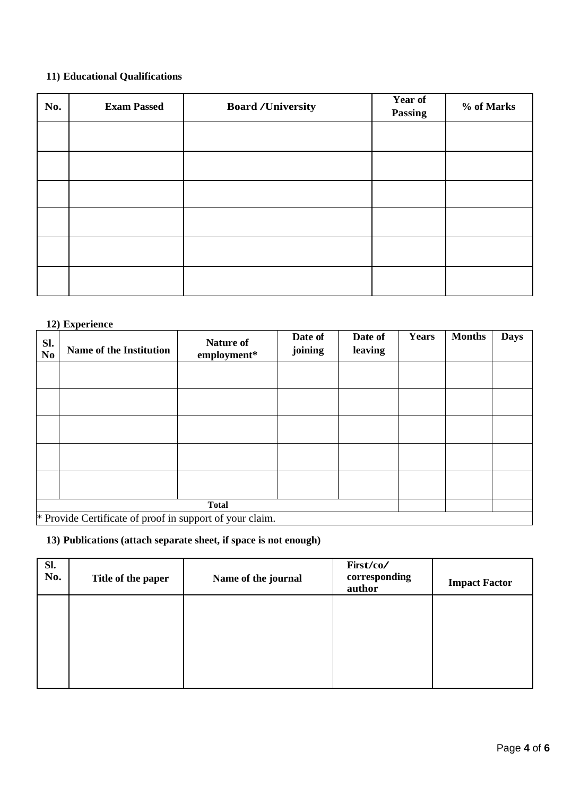## **11) Educational Qualifications**

| No. | <b>Exam Passed</b> | <b>Board /University</b> | Year of<br><b>Passing</b> | % of Marks |  |
|-----|--------------------|--------------------------|---------------------------|------------|--|
|     |                    |                          |                           |            |  |
|     |                    |                          |                           |            |  |
|     |                    |                          |                           |            |  |
|     |                    |                          |                           |            |  |
|     |                    |                          |                           |            |  |
|     |                    |                          |                           |            |  |

#### **12) Experience**

| Sl.<br>N <sub>o</sub> | <b>Name of the Institution</b>                           | <b>Nature of</b><br>employment* | Date of<br>joining | Date of<br>leaving | <b>Years</b> | <b>Months</b> | <b>Days</b> |
|-----------------------|----------------------------------------------------------|---------------------------------|--------------------|--------------------|--------------|---------------|-------------|
|                       |                                                          |                                 |                    |                    |              |               |             |
|                       |                                                          |                                 |                    |                    |              |               |             |
|                       |                                                          |                                 |                    |                    |              |               |             |
|                       |                                                          |                                 |                    |                    |              |               |             |
|                       |                                                          |                                 |                    |                    |              |               |             |
|                       | <b>Total</b>                                             |                                 |                    |                    |              |               |             |
|                       | * Provide Certificate of proof in support of your claim. |                                 |                    |                    |              |               |             |

**13) Publications (attach separate sheet, if space is not enough)** 

| Sl.<br>No. | Title of the paper | Name of the journal | First/co/<br>corresponding<br>author | <b>Impact Factor</b> |
|------------|--------------------|---------------------|--------------------------------------|----------------------|
|            |                    |                     |                                      |                      |
|            |                    |                     |                                      |                      |
|            |                    |                     |                                      |                      |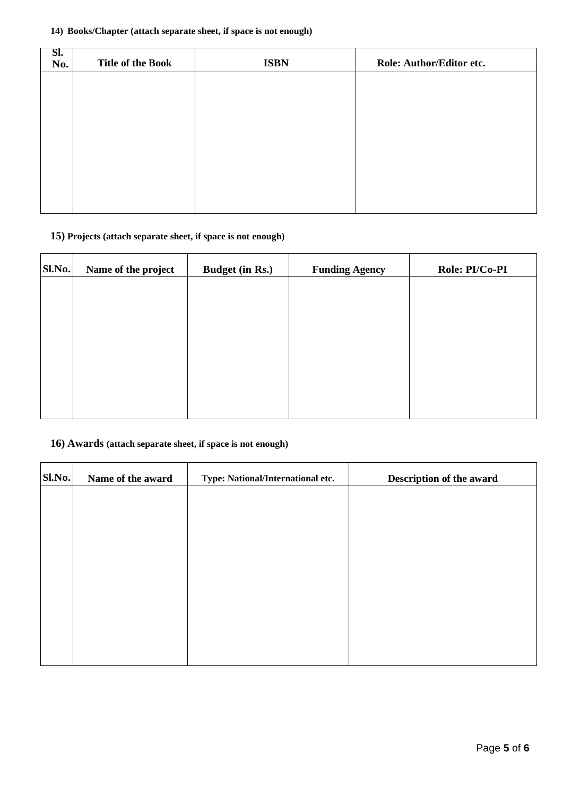#### **14) Books/Chapter (attach separate sheet, if space is not enough)**

| SI.<br>No. | <b>Title of the Book</b> | <b>ISBN</b> | Role: Author/Editor etc. |
|------------|--------------------------|-------------|--------------------------|
|            |                          |             |                          |
|            |                          |             |                          |
|            |                          |             |                          |
|            |                          |             |                          |
|            |                          |             |                          |
|            |                          |             |                          |

# **15) Projects (attach separate sheet, if space is not enough)**

| Sl.No. | Name of the project | <b>Budget (in Rs.)</b> | <b>Funding Agency</b> | Role: PI/Co-PI |
|--------|---------------------|------------------------|-----------------------|----------------|
|        |                     |                        |                       |                |
|        |                     |                        |                       |                |
|        |                     |                        |                       |                |
|        |                     |                        |                       |                |
|        |                     |                        |                       |                |
|        |                     |                        |                       |                |

### **16) Awards (attach separate sheet, if space is not enough)**

| Sl.No. | Name of the award | Type: National/International etc. | Description of the award |
|--------|-------------------|-----------------------------------|--------------------------|
|        |                   |                                   |                          |
|        |                   |                                   |                          |
|        |                   |                                   |                          |
|        |                   |                                   |                          |
|        |                   |                                   |                          |
|        |                   |                                   |                          |
|        |                   |                                   |                          |
|        |                   |                                   |                          |